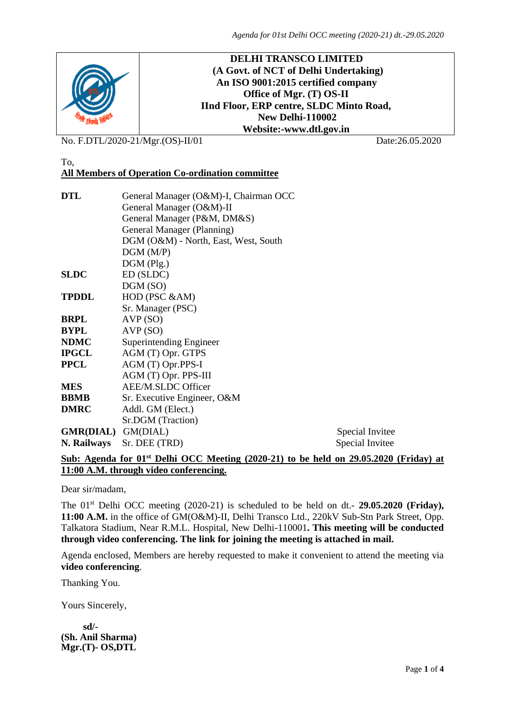

No. F.DTL/2020-21/Mgr.(OS)-II/01 Date:26.05.2020

#### To, **All Members of Operation Co-ordination committee**

| <b>DTL</b>         | General Manager (O&M)-I, Chairman OCC |                 |  |  |  |  |
|--------------------|---------------------------------------|-----------------|--|--|--|--|
|                    | General Manager (O&M)-II              |                 |  |  |  |  |
|                    | General Manager (P&M, DM&S)           |                 |  |  |  |  |
|                    | General Manager (Planning)            |                 |  |  |  |  |
|                    | DGM (O&M) - North, East, West, South  |                 |  |  |  |  |
|                    | DGM(M/P)                              |                 |  |  |  |  |
|                    | $DGM$ (Plg.)                          |                 |  |  |  |  |
| <b>SLDC</b>        | ED (SLDC)                             |                 |  |  |  |  |
|                    | DGM (SO)                              |                 |  |  |  |  |
| <b>TPDDL</b>       | HOD (PSC &AM)                         |                 |  |  |  |  |
|                    | Sr. Manager (PSC)                     |                 |  |  |  |  |
| <b>BRPL</b>        | AVP(SO)                               |                 |  |  |  |  |
| <b>BYPL</b>        | AVP(SO)                               |                 |  |  |  |  |
| <b>NDMC</b>        | Superintending Engineer               |                 |  |  |  |  |
| <b>IPGCL</b>       | AGM (T) Opr. GTPS                     |                 |  |  |  |  |
| <b>PPCL</b>        | AGM (T) Opr.PPS-I                     |                 |  |  |  |  |
|                    | AGM (T) Opr. PPS-III                  |                 |  |  |  |  |
| <b>MES</b>         | AEE/M.SLDC Officer                    |                 |  |  |  |  |
| <b>BBMB</b>        | Sr. Executive Engineer, O&M           |                 |  |  |  |  |
| <b>DMRC</b>        | Addl. GM (Elect.)                     |                 |  |  |  |  |
|                    | Sr.DGM (Traction)                     |                 |  |  |  |  |
| GMR(DIAL) GM(DIAL) |                                       | Special Invitee |  |  |  |  |
| N. Railways        | Sr. DEE (TRD)                         | Special Invitee |  |  |  |  |
|                    |                                       |                 |  |  |  |  |

# **Sub: Agenda for 01st Delhi OCC Meeting (2020-21) to be held on 29.05.2020 (Friday) at 11:00 A.M. through video conferencing.**

Dear sir/madam,

The 01st Delhi OCC meeting (2020-21) is scheduled to be held on dt.- **29.05.2020 (Friday), 11:00 A.M.** in the office of GM(O&M)-II, Delhi Transco Ltd., 220kV Sub-Stn Park Street, Opp. Talkatora Stadium, Near R.M.L. Hospital, New Delhi-110001**. This meeting will be conducted through video conferencing. The link for joining the meeting is attached in mail.**

Agenda enclosed, Members are hereby requested to make it convenient to attend the meeting via **video conferencing**.

Thanking You.

Yours Sincerely,

 **sd/- (Sh. Anil Sharma) Mgr.(T)- OS,DTL**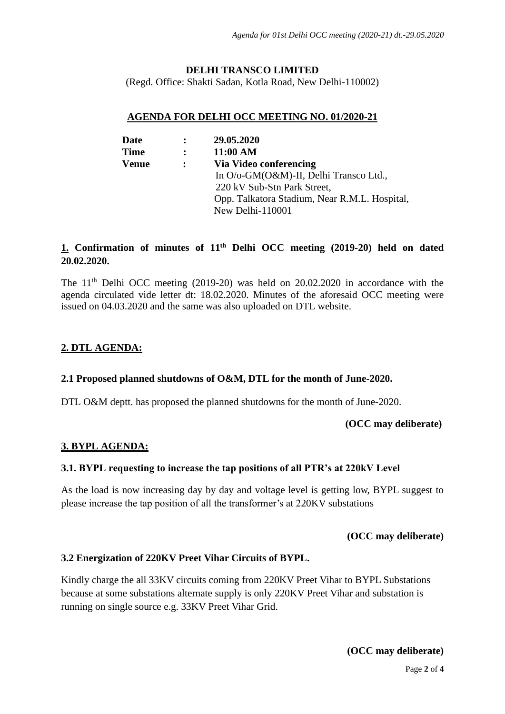### **DELHI TRANSCO LIMITED**

(Regd. Office: Shakti Sadan, Kotla Road, New Delhi-110002)

### **AGENDA FOR DELHI OCC MEETING NO. 01/2020-21**

| <b>Date</b>  | $\ddot{\cdot}$ | 29.05.2020                                    |
|--------------|----------------|-----------------------------------------------|
| <b>Time</b>  | $\ddot{\cdot}$ | 11:00 AM                                      |
| <b>Venue</b> | $\ddot{\cdot}$ | Via Video conferencing                        |
|              |                | In O/o-GM(O&M)-II, Delhi Transco Ltd.,        |
|              |                | 220 kV Sub-Stn Park Street,                   |
|              |                | Opp. Talkatora Stadium, Near R.M.L. Hospital, |
|              |                | New Delhi-110001                              |

# **1. Confirmation of minutes of 11th Delhi OCC meeting (2019-20) held on dated 20.02.2020.**

The  $11<sup>th</sup>$  Delhi OCC meeting (2019-20) was held on 20.02.2020 in accordance with the agenda circulated vide letter dt: 18.02.2020. Minutes of the aforesaid OCC meeting were issued on 04.03.2020 and the same was also uploaded on DTL website.

# **2. DTL AGENDA:**

# **2.1 Proposed planned shutdowns of O&M, DTL for the month of June-2020.**

DTL O&M deptt. has proposed the planned shutdowns for the month of June-2020.

#### **(OCC may deliberate)**

# **3. BYPL AGENDA:**

# **3.1. BYPL requesting to increase the tap positions of all PTR's at 220kV Level**

As the load is now increasing day by day and voltage level is getting low, BYPL suggest to please increase the tap position of all the transformer's at 220KV substations

#### **(OCC may deliberate)**

# **3.2 Energization of 220KV Preet Vihar Circuits of BYPL.**

Kindly charge the all 33KV circuits coming from 220KV Preet Vihar to BYPL Substations because at some substations alternate supply is only 220KV Preet Vihar and substation is running on single source e.g. 33KV Preet Vihar Grid.

# **(OCC may deliberate)**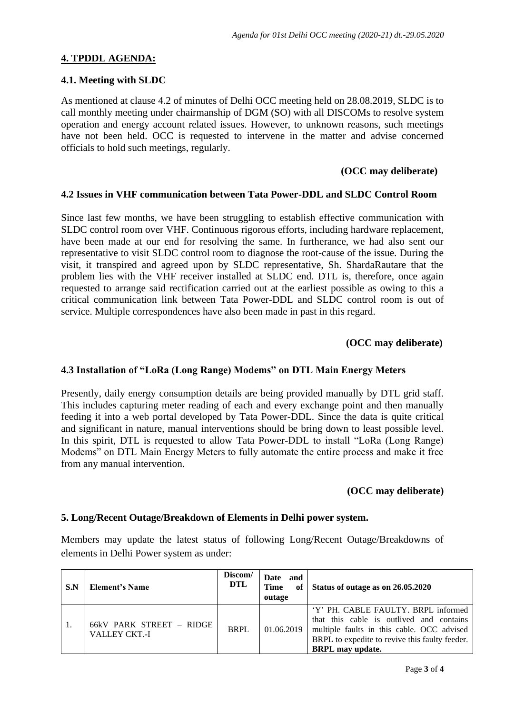# **4. TPDDL AGENDA:**

#### **4.1. Meeting with SLDC**

As mentioned at clause 4.2 of minutes of Delhi OCC meeting held on 28.08.2019, SLDC is to call monthly meeting under chairmanship of DGM (SO) with all DISCOMs to resolve system operation and energy account related issues. However, to unknown reasons, such meetings have not been held. OCC is requested to intervene in the matter and advise concerned officials to hold such meetings, regularly.

#### **(OCC may deliberate)**

### **4.2 Issues in VHF communication between Tata Power-DDL and SLDC Control Room**

Since last few months, we have been struggling to establish effective communication with SLDC control room over VHF. Continuous rigorous efforts, including hardware replacement, have been made at our end for resolving the same. In furtherance, we had also sent our representative to visit SLDC control room to diagnose the root-cause of the issue. During the visit, it transpired and agreed upon by SLDC representative, Sh. ShardaRautare that the problem lies with the VHF receiver installed at SLDC end. DTL is, therefore, once again requested to arrange said rectification carried out at the earliest possible as owing to this a critical communication link between Tata Power-DDL and SLDC control room is out of service. Multiple correspondences have also been made in past in this regard.

### **(OCC may deliberate)**

### **4.3 Installation of "LoRa (Long Range) Modems" on DTL Main Energy Meters**

Presently, daily energy consumption details are being provided manually by DTL grid staff. This includes capturing meter reading of each and every exchange point and then manually feeding it into a web portal developed by Tata Power-DDL. Since the data is quite critical and significant in nature, manual interventions should be bring down to least possible level. In this spirit, DTL is requested to allow Tata Power-DDL to install "LoRa (Long Range) Modems" on DTL Main Energy Meters to fully automate the entire process and make it free from any manual intervention.

#### **(OCC may deliberate)**

# **5. Long/Recent Outage/Breakdown of Elements in Delhi power system.**

Members may update the latest status of following Long/Recent Outage/Breakdowns of elements in Delhi Power system as under:

| S.N | <b>Element's Name</b>                            | Discom/<br><b>DTL</b> | Date and<br><b>Time</b><br>outage | of Status of outage as on 26.05.2020                                                                                                                                                                       |
|-----|--------------------------------------------------|-----------------------|-----------------------------------|------------------------------------------------------------------------------------------------------------------------------------------------------------------------------------------------------------|
|     | 66kV PARK STREET - RIDGE<br><b>VALLEY CKT.-I</b> | <b>BRPL</b>           | 01.06.2019                        | 'Y' PH. CABLE FAULTY. BRPL informed<br>that this cable is outlived and contains<br>multiple faults in this cable. OCC advised<br>BRPL to expedite to revive this faulty feeder.<br><b>BRPL</b> may update. |